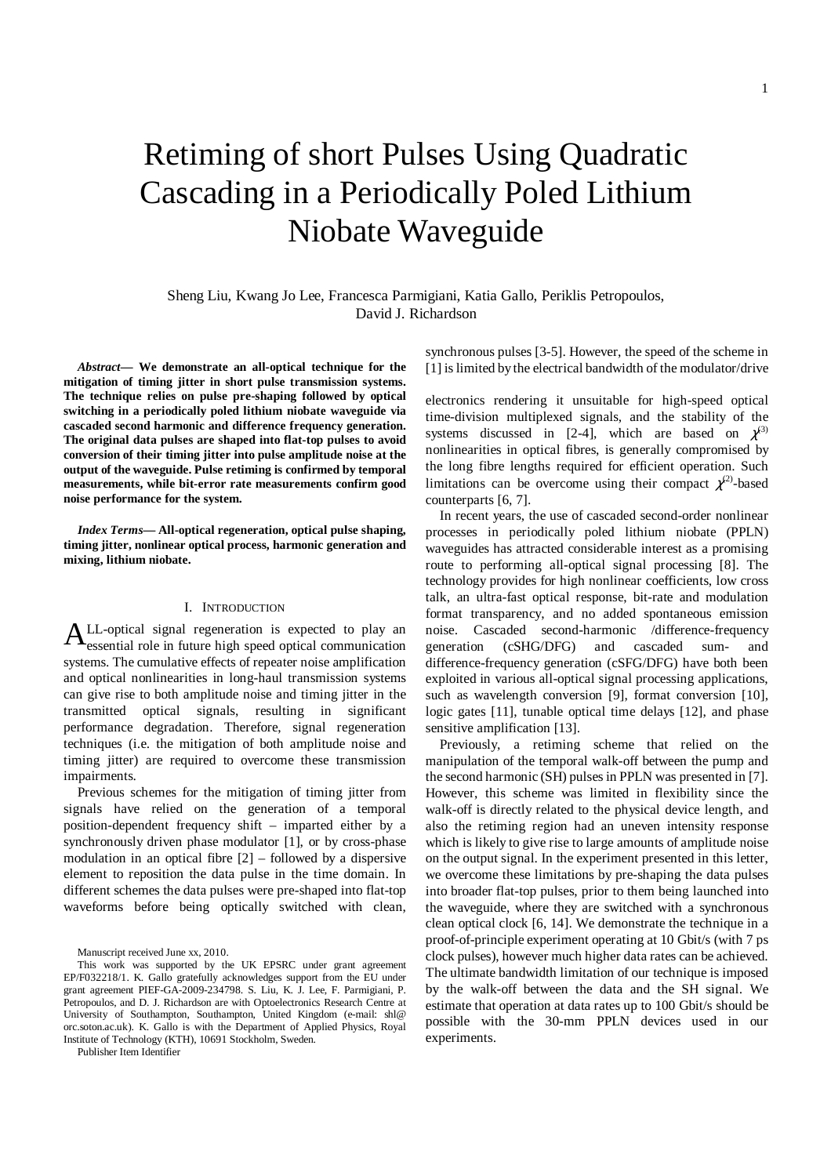# Retiming of short Pulses Using Quadratic Cascading in a Periodically Poled Lithium Niobate Waveguide

Sheng Liu, Kwang Jo Lee, Francesca Parmigiani, Katia Gallo, Periklis Petropoulos, David J. Richardson

*Abstract***— We demonstrate an all-optical technique for the mitigation of timing jitter in short pulse transmission systems. The technique relies on pulse pre-shaping followed by optical switching in a periodically poled lithium niobate waveguide via cascaded second harmonic and difference frequency generation. The original data pulses are shaped into flat-top pulses to avoid conversion of their timing jitter into pulse amplitude noise at the output of the waveguide. Pulse retiming is confirmed by temporal measurements, while bit-error rate measurements confirm good noise performance for the system.** 

*Index Terms***— All-optical regeneration, optical pulse shaping, timing jitter, nonlinear optical process, harmonic generation and mixing, lithium niobate.** 

## I. INTRODUCTION

LL-optical signal regeneration is expected to play an  $A<sub>essential</sub>$  signal regeneration is expected to play an essential role in future high speed optical communication systems. The cumulative effects of repeater noise amplification and optical nonlinearities in long-haul transmission systems can give rise to both amplitude noise and timing jitter in the transmitted optical signals, resulting in significant performance degradation. Therefore, signal regeneration techniques (i.e. the mitigation of both amplitude noise and timing jitter) are required to overcome these transmission impairments.

Previous schemes for the mitigation of timing jitter from signals have relied on the generation of a temporal position-dependent frequency shift – imparted either by a synchronously driven phase modulator [1], or by cross-phase modulation in an optical fibre [2] – followed by a dispersive element to reposition the data pulse in the time domain. In different schemes the data pulses were pre-shaped into flat-top waveforms before being optically switched with clean,

Publisher Item Identifier

synchronous pulses [3-5]. However, the speed of the scheme in [1] is limited by the electrical bandwidth of the modulator/drive

electronics rendering it unsuitable for high-speed optical time-division multiplexed signals, and the stability of the systems discussed in [2-4], which are based on  $\chi^{(3)}$ nonlinearities in optical fibres, is generally compromised by the long fibre lengths required for efficient operation. Such limitations can be overcome using their compact  $\chi^{(2)}$ -based counterparts [6, 7].

In recent years, the use of cascaded second-order nonlinear processes in periodically poled lithium niobate (PPLN) waveguides has attracted considerable interest as a promising route to performing all-optical signal processing [8]. The technology provides for high nonlinear coefficients, low cross talk, an ultra-fast optical response, bit-rate and modulation format transparency, and no added spontaneous emission noise. Cascaded second-harmonic /difference-frequency generation (cSHG/DFG) and cascaded sum- and difference-frequency generation (cSFG/DFG) have both been exploited in various all-optical signal processing applications, such as wavelength conversion [9], format conversion [10], logic gates [11], tunable optical time delays [12], and phase sensitive amplification [13].

Previously, a retiming scheme that relied on the manipulation of the temporal walk-off between the pump and the second harmonic (SH) pulses in PPLN was presented in [7]. However, this scheme was limited in flexibility since the walk-off is directly related to the physical device length, and also the retiming region had an uneven intensity response which is likely to give rise to large amounts of amplitude noise on the output signal. In the experiment presented in this letter, we overcome these limitations by pre-shaping the data pulses into broader flat-top pulses, prior to them being launched into the waveguide, where they are switched with a synchronous clean optical clock [6, 14]. We demonstrate the technique in a proof-of-principle experiment operating at 10 Gbit/s (with 7 ps clock pulses), however much higher data rates can be achieved. The ultimate bandwidth limitation of our technique is imposed by the walk-off between the data and the SH signal. We estimate that operation at data rates up to 100 Gbit/s should be possible with the 30-mm PPLN devices used in our experiments.

Manuscript received June xx, 2010.

This work was supported by the UK EPSRC under grant agreement EP/F032218/1. K. Gallo gratefully acknowledges support from the EU under grant agreement PIEF-GA-2009-234798. S. Liu, K. J. Lee, F. Parmigiani, P. Petropoulos, and D. J. Richardson are with Optoelectronics Research Centre at University of Southampton, Southampton, United Kingdom (e-mail: shl@ orc.soton.ac.uk). K. Gallo is with the Department of Applied Physics, Royal Institute of Technology (KTH), 10691 Stockholm, Sweden.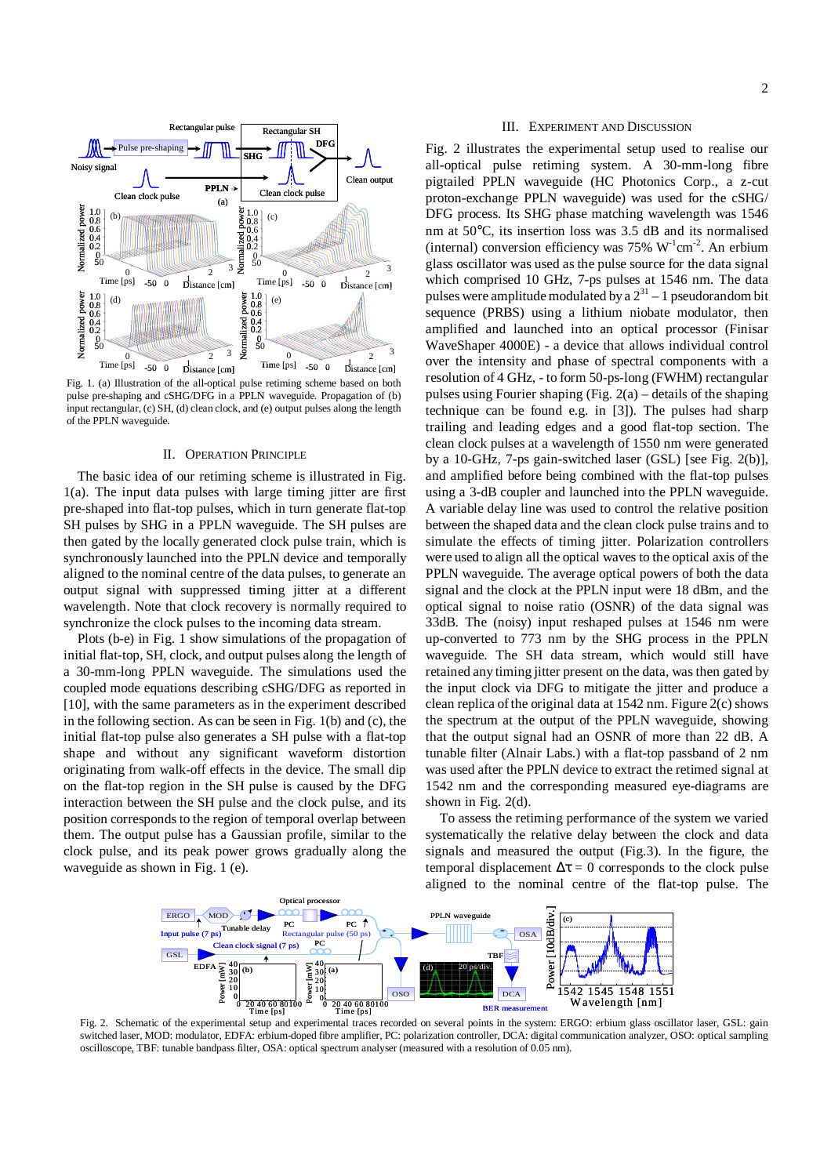



Fig. 1. (a) Illustration of the all-optical pulse retiming scheme based on both pulse pre-shaping and cSHG/DFG in a PPLN waveguide. Propagation of (b) input rectangular, (c) SH, (d) clean clock, and (e) output pulses along the length of the PPLN waveguide.

### II. OPERATION PRINCIPLE

The basic idea of our retiming scheme is illustrated in Fig. 1(a). The input data pulses with large timing jitter are first pre-shaped into flat-top pulses, which in turn generate flat-top SH pulses by SHG in a PPLN waveguide. The SH pulses are then gated by the locally generated clock pulse train, which is synchronously launched into the PPLN device and temporally aligned to the nominal centre of the data pulses, to generate an output signal with suppressed timing jitter at a different wavelength. Note that clock recovery is normally required to synchronize the clock pulses to the incoming data stream.

Plots (b-e) in Fig. 1 show simulations of the propagation of initial flat-top, SH, clock, and output pulses along the length of a 30-mm-long PPLN waveguide. The simulations used the coupled mode equations describing cSHG/DFG as reported in [10], with the same parameters as in the experiment described in the following section. As can be seen in Fig. 1(b) and (c), the initial flat-top pulse also generates a SH pulse with a flat-top shape and without any significant waveform distortion originating from walk-off effects in the device. The small dip on the flat-top region in the SH pulse is caused by the DFG interaction between the SH pulse and the clock pulse, and its position corresponds to the region of temporal overlap between them. The output pulse has a Gaussian profile, similar to the clock pulse, and its peak power grows gradually along the waveguide as shown in Fig. 1 (e).

#### III. EXPERIMENT AND DISCUSSION

Fig. 2 illustrates the experimental setup used to realise our all-optical pulse retiming system. A 30-mm-long fibre pigtailed PPLN waveguide (HC Photonics Corp., a z-cut proton-exchange PPLN waveguide) was used for the cSHG/ DFG process. Its SHG phase matching wavelength was 1546 nm at 50°C, its insertion loss was 3.5 dB and its normalised (internal) conversion efficiency was  $75\% \text{ W}^{-1} \text{cm}^{-2}$ . An erbium glass oscillator was used as the pulse source for the data signal which comprised 10 GHz, 7-ps pulses at 1546 nm. The data pulses were amplitude modulated by a  $2^{31}$  – 1 pseudorandom bit sequence (PRBS) using a lithium niobate modulator, then amplified and launched into an optical processor (Finisar WaveShaper 4000E) - a device that allows individual control over the intensity and phase of spectral components with a resolution of 4 GHz, - to form 50-ps-long (FWHM) rectangular pulses using Fourier shaping (Fig. 2(a) – details of the shaping technique can be found e.g. in [3]). The pulses had sharp trailing and leading edges and a good flat-top section. The clean clock pulses at a wavelength of 1550 nm were generated by a 10-GHz, 7-ps gain-switched laser (GSL) [see Fig. 2(b)], and amplified before being combined with the flat-top pulses using a 3-dB coupler and launched into the PPLN waveguide. A variable delay line was used to control the relative position between the shaped data and the clean clock pulse trains and to simulate the effects of timing jitter. Polarization controllers were used to align all the optical waves to the optical axis of the PPLN waveguide. The average optical powers of both the data signal and the clock at the PPLN input were 18 dBm, and the optical signal to noise ratio (OSNR) of the data signal was 33dB. The (noisy) input reshaped pulses at 1546 nm were up-converted to 773 nm by the SHG process in the PPLN waveguide. The SH data stream, which would still have retained any timing jitter present on the data, was then gated by the input clock via DFG to mitigate the jitter and produce a clean replica of the original data at 1542 nm. Figure 2(c) shows the spectrum at the output of the PPLN waveguide, showing that the output signal had an OSNR of more than 22 dB. A tunable filter (Alnair Labs.) with a flat-top passband of 2 nm was used after the PPLN device to extract the retimed signal at 1542 nm and the corresponding measured eye-diagrams are shown in Fig. 2(d). **EXERCTS** THE TRIP IS A REPORT OF THE TRIP IS A REPORT OF THE TRIP IS A REPORT OF THE TRIP IS A REPORT OF THE TRIP IS A REPORT OF THE TRIP IS A REPORT OF THE TRIP IS A REPORT OF THE TRIP IS A REPORT OF THE TRIP IS A REPO

To assess the retiming performance of the system we varied systematically the relative delay between the clock and data signals and measured the output (Fig.3). In the figure, the temporal displacement  $\Delta \tau = 0$  corresponds to the clock pulse aligned to the nominal centre of the flat-top pulse. The



Fig. 2. Schematic of the experimental setup and experimental traces recorded on several points in the system: ERGO: erbium glass oscillator laser, GSL: gain switched laser, MOD: modulator, EDFA: erbium-doped fibre amplifier, PC: polarization controller, DCA: digital communication analyzer, OSO: optical sampling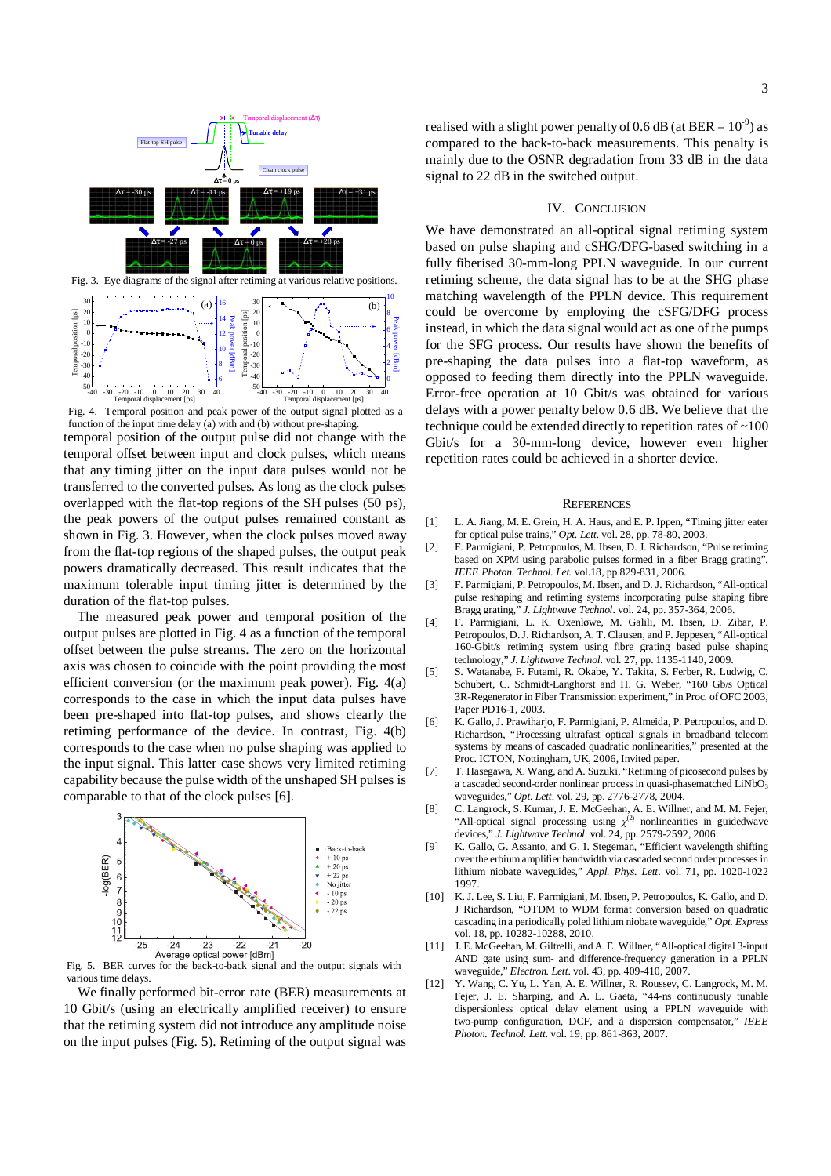

function of the input time delay  $(a)$  with and (b) without pre-shaping.

temporal position of the output pulse did not change with the temporal offset between input and clock pulses, which means that any timing jitter on the input data pulses would not be transferred to the converted pulses. As long as the clock pulses overlapped with the flat-top regions of the SH pulses (50 ps), the peak powers of the output pulses remained constant as shown in Fig. 3. However, when the clock pulses moved away from the flat-top regions of the shaped pulses, the output peak powers dramatically decreased. This result indicates that the maximum tolerable input timing jitter is determined by the duration of the flat-top pulses.

The measured peak power and temporal position of the output pulses are plotted in Fig. 4 as a function of the temporal offset between the pulse streams. The zero on the horizontal axis was chosen to coincide with the point providing the most efficient conversion (or the maximum peak power). Fig. 4(a) corresponds to the case in which the input data pulses have been pre-shaped into flat-top pulses, and shows clearly the retiming performance of the device. In contrast, Fig. 4(b) corresponds to the case when no pulse shaping was applied to the input signal. This latter case shows very limited retiming capability because the pulse width of the unshaped SH pulses is comparable to that of the clock pulses [6].



Fig. 5. BER curves for the back-to-back signal and the output signals with various time delays.

We finally performed bit-error rate (BER) measurements at 10 Gbit/s (using an electrically amplified receiver) to ensure that the retiming system did not introduce any amplitude noise on the input pulses (Fig. 5). Retiming of the output signal was

# IV. CONCLUSION

We have demonstrated an all-optical signal retiming system based on pulse shaping and cSHG/DFG-based switching in a fully fiberised 30-mm-long PPLN waveguide. In our current retiming scheme, the data signal has to be at the SHG phase matching wavelength of the PPLN device. This requirement could be overcome by employing the cSFG/DFG process instead, in which the data signal would act as one of the pumps for the SFG process. Our results have shown the benefits of pre-shaping the data pulses into a flat-top waveform, as opposed to feeding them directly into the PPLN waveguide. Error-free operation at 10 Gbit/s was obtained for various delays with a power penalty below 0.6 dB. We believe that the technique could be extended directly to repetition rates of ~100 Gbit/s for a 30-mm-long device, however even higher repetition rates could be achieved in a shorter device.

#### **REFERENCES**

- [1] L. A. Jiang, M. E. Grein, H. A. Haus, and E. P. Ippen, "Timing jitter eater for optical pulse trains," *Opt. Lett*. vol. 28, pp. 78-80, 2003.
- [2] F. Parmigiani, P. Petropoulos, M. Ibsen, D. J. Richardson, "Pulse retiming based on XPM using parabolic pulses formed in a fiber Bragg grating", *IEEE Photon. Technol. Let.* vol.18, pp.829-831, 2006.
- [3] F. Parmigiani, P. Petropoulos, M. Ibsen, and D. J. Richardson, "All-optical pulse reshaping and retiming systems incorporating pulse shaping fibre Bragg grating," *J. Lightwave Technol*. vol. 24, pp. 357-364, 2006.
- [4] F. Parmigiani, L. K. Oxenløwe, M. Galili, M. Ibsen, D. Zibar, P. Petropoulos, D. J. Richardson, A. T. Clausen, and P. Jeppesen, "All-optical 160-Gbit/s retiming system using fibre grating based pulse shaping technology," *J. Lightwave Technol*. vol. 27, pp. 1135-1140, 2009.
- [5] S. Watanabe, F. Futami, R. Okabe, Y. Takita, S. Ferber, R. Ludwig, C. Schubert, C. Schmidt-Langhorst and H. G. Weber, "160 Gb/s Optical 3R-Regenerator in Fiber Transmission experiment," in Proc. of OFC 2003, Paper PD16-1, 2003.
- [6] K. Gallo, J. Prawiharjo, F. Parmigiani, P. Almeida, P. Petropoulos, and D. Richardson, "Processing ultrafast optical signals in broadband telecom systems by means of cascaded quadratic nonlinearities," presented at the Proc. ICTON, Nottingham, UK, 2006, Invited paper.
- [7] T. Hasegawa, X. Wang, and A. Suzuki, "Retiming of picosecond pulses by a cascaded second-order nonlinear process in quasi-phasematched LiNbO<sub>3</sub> waveguides," *Opt. Lett*. vol. 29, pp. 2776-2778, 2004.
- [8] C. Langrock, S. Kumar, J. E. McGeehan, A. E. Willner, and M. M. Fejer, "All-optical signal processing using  $\chi$ <sup>(2)</sup> nonlinearities in guidedwave devices," *J. Lightwave Technol*. vol. 24, pp. 2579-2592, 2006.
- [9] K. Gallo, G. Assanto, and G. I. Stegeman, "Efficient wavelength shifting over the erbium amplifier bandwidth via cascaded second order processes in lithium niobate waveguides," *Appl. Phys. Lett*. vol. 71, pp. 1020-1022 1997.
- [10] K. J. Lee, S. Liu, F. Parmigiani, M. Ibsen, P. Petropoulos, K. Gallo, and D. J Richardson, "OTDM to WDM format conversion based on quadratic cascading in a periodically poled lithium niobate waveguide," *Opt. Express* vol. 18, pp. 10282-10288, 2010.
- [11] J. E. McGeehan, M. Giltrelli, and A. E. Willner, "All-optical digital 3-input AND gate using sum- and difference-frequency generation in a PPLN waveguide," *Electron. Lett*. vol. 43, pp. 409-410, 2007.
- [12] Y. Wang, C. Yu, L. Yan, A. E. Willner, R. Roussev, C. Langrock, M. M. Fejer, J. E. Sharping, and A. L. Gaeta, "44-ns continuously tunable dispersionless optical delay element using a PPLN waveguide with two-pump configuration, DCF, and a dispersion compensator," *IEEE Photon. Technol. Lett*. vol. 19, pp. 861-863, 2007.